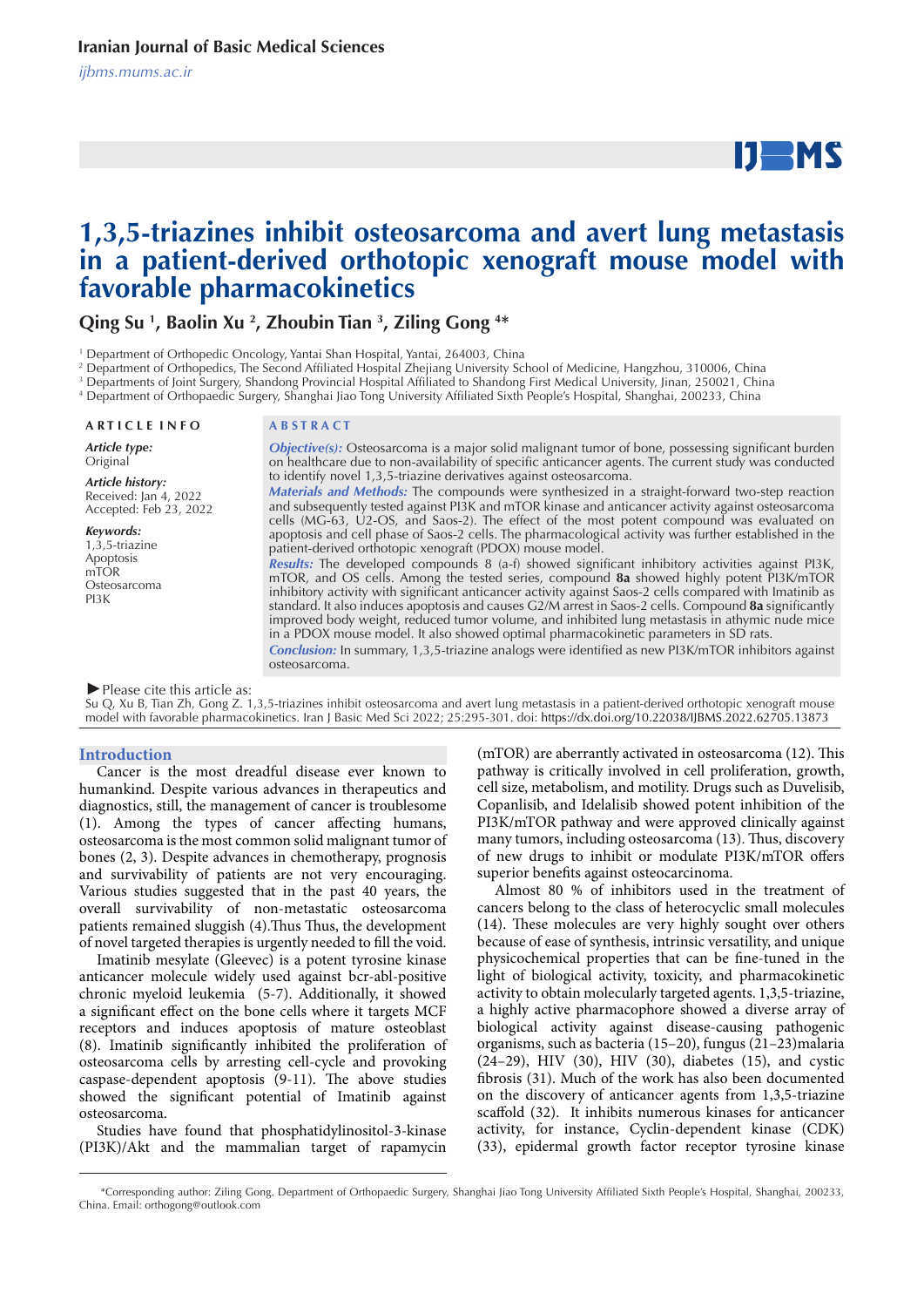# $IJ$  MS

# **1,3,5-triazines inhibit osteosarcoma and avert lung metastasis in a patient-derived orthotopic xenograft mouse model with favorable pharmacokinetics**

**Qing Su 1 , Baolin Xu 2 , Zhoubin Tian 3 , Ziling Gong 4 \***

<sup>1</sup> Department of Orthopedic Oncology, Yantai Shan Hospital, Yantai, 264003, China

2 Department of Orthopedics, The Second Affiliated Hospital Zhejiang University School of Medicine, Hangzhou, 310006, China

3 Departments of Joint Surgery, Shandong Provincial Hospital Affiliated to Shandong First Medical University, Jinan, 250021, China

4 Department of Orthopaedic Surgery, Shanghai Jiao Tong University Affiliated Sixth People's Hospital, Shanghai, 200233, China

#### **A R T I C L E I N F O A B S T R A C T**

*Article type:* **Original** 

*Article history:* Received: Jan 4, 2022 Accepted: Feb 23, 2022

#### *Keywords:*

 $1,3,5$ -triazine Apoptosis mTOR Osteosarcoma PI3K

*Objective(s):* Osteosarcoma is a major solid malignant tumor of bone, possessing significant burden on healthcare due to non-availability of specific anticancer agents. The current study was conducted to identify novel 1,3,5-triazine derivatives against osteosarcoma. *Materials and Methods:* The compounds were synthesized in a straight-forward two-step reaction and subsequently tested against PI3K and mTOR kinase and anticancer activity against osteosarcoma

cells (MG-63, U2-OS, and Saos-2). The effect of the most potent compound was evaluated on apoptosis and cell phase of Saos-2 cells. The pharmacological activity was further established in the patient-derived orthotopic xenograft (PDOX) mouse model. *Results:* The developed compounds 8 (a-f) showed significant inhibitory activities against PI3K, mTOR, and OS cells. Among the tested series, compound **8a** showed highly potent PI3K/mTOR

inhibitory activity with significant anticancer activity against Saos-2 cells compared with Imatinib as standard. It also induces apoptosis and causes G2/M arrest in Saos-2 cells. Compound **8a** significantly improved body weight, reduced tumor volume, and inhibited lung metastasis in athymic nude mice in a PDOX mouse model. It also showed optimal pharmacokinetic parameters in SD rats.

*Conclusion:* In summary, 1,3,5-triazine analogs were identified as new PI3K/mTOR inhibitors against osteosarcoma.

#### *►*Please cite this article as:

Su Q, Xu B, Tian Zh, Gong Z. 1,3,5-triazines inhibit osteosarcoma and avert lung metastasis in a patient-derived orthotopic xenograft mouse model with favorable pharmacokinetics. Iran J Basic Med Sci 2022; 25:295-301. doi: https://dx.doi.org/10.22038/IJBMS.2022.62705.13873

#### **Introduction**

Cancer is the most dreadful disease ever known to humankind. Despite various advances in therapeutics and diagnostics, still, the management of cancer is troublesome (1). Among the types of cancer affecting humans, osteosarcoma is the most common solid malignant tumor of bones (2, 3). Despite advances in chemotherapy, prognosis and survivability of patients are not very encouraging. Various studies suggested that in the past 40 years, the overall survivability of non-metastatic osteosarcoma patients remained sluggish (4).Thus Thus, the development of novel targeted therapies is urgently needed to fill the void.

Imatinib mesylate (Gleevec) is a potent tyrosine kinase anticancer molecule widely used against bcr-abl-positive chronic myeloid leukemia (5-7). Additionally, it showed a significant effect on the bone cells where it targets MCF receptors and induces apoptosis of mature osteoblast (8). Imatinib significantly inhibited the proliferation of osteosarcoma cells by arresting cell-cycle and provoking caspase-dependent apoptosis (9-11). The above studies showed the significant potential of Imatinib against osteosarcoma.

Studies have found that phosphatidylinositol-3-kinase (PI3K)/Akt and the mammalian target of rapamycin (mTOR) are aberrantly activated in osteosarcoma (12). This pathway is critically involved in cell proliferation, growth, cell size, metabolism, and motility. Drugs such as Duvelisib, Copanlisib, and Idelalisib showed potent inhibition of the PI3K/mTOR pathway and were approved clinically against many tumors, including osteosarcoma (13). Thus, discovery of new drugs to inhibit or modulate PI3K/mTOR offers superior benefits against osteocarcinoma.

Almost 80 % of inhibitors used in the treatment of cancers belong to the class of heterocyclic small molecules (14). These molecules are very highly sought over others because of ease of synthesis, intrinsic versatility, and unique physicochemical properties that can be fine-tuned in the light of biological activity, toxicity, and pharmacokinetic activity to obtain molecularly targeted agents. 1,3,5-triazine, a highly active pharmacophore showed a diverse array of biological activity against disease-causing pathogenic organisms, such as bacteria (15–20), fungus (21–23)malaria (24–29), HIV (30), HIV (30), diabetes (15), and cystic fibrosis (31). Much of the work has also been documented on the discovery of anticancer agents from 1,3,5-triazine scaffold (32). It inhibits numerous kinases for anticancer activity, for instance, Cyclin-dependent kinase (CDK) (33), epidermal growth factor receptor tyrosine kinase

 <sup>\*</sup>Corresponding author: Ziling Gong. Department of Orthopaedic Surgery, Shanghai Jiao Tong University Affiliated Sixth People's Hospital, Shanghai, 200233, China. Email: orthogong@outlook.com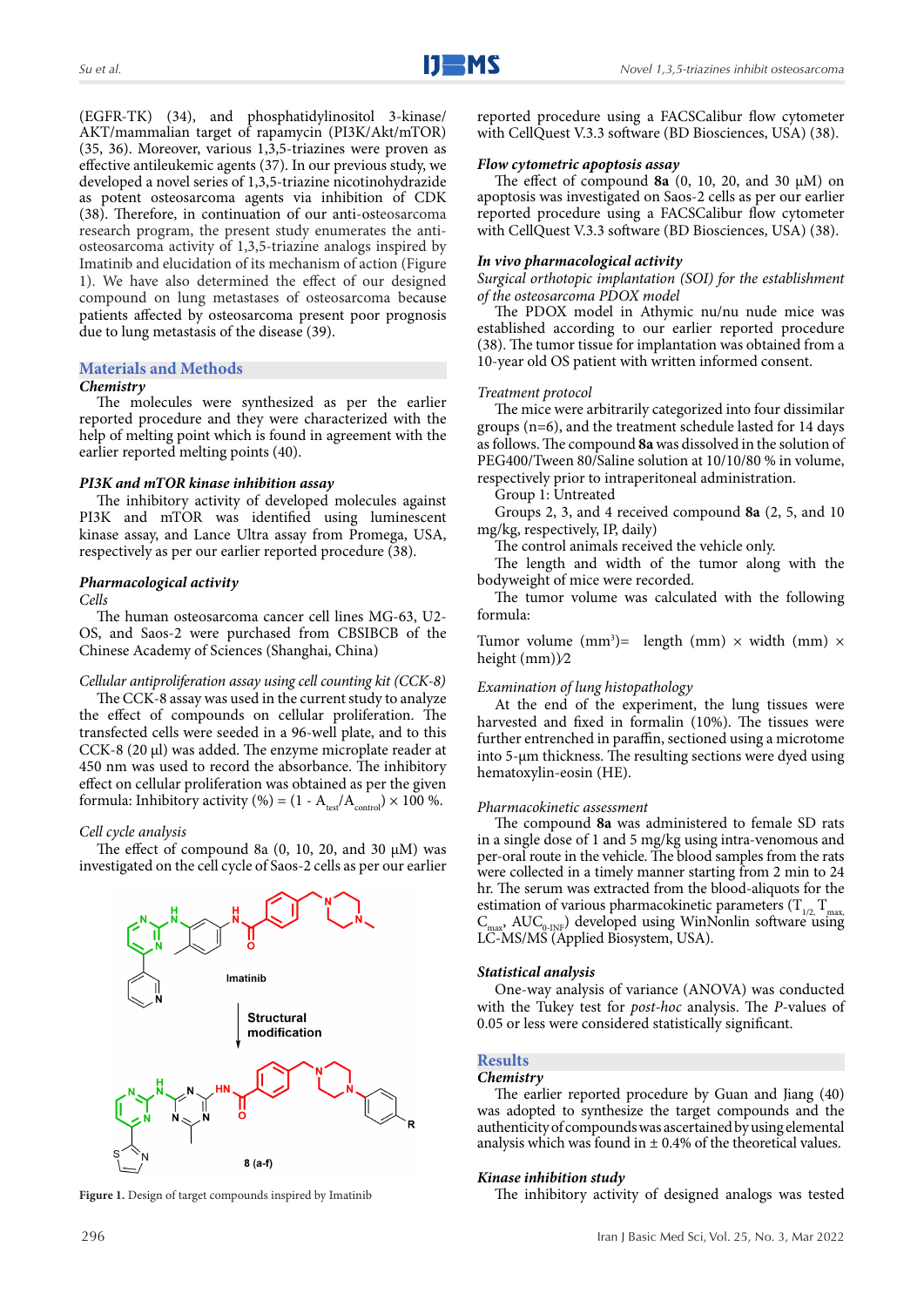(EGFR-TK) (34), and phosphatidylinositol 3-kinase/ AKT/mammalian target of rapamycin (PI3K/Akt/mTOR) (35, 36). Moreover, various 1,3,5-triazines were proven as effective antileukemic agents (37). In our previous study, we developed a novel series of 1,3,5-triazine nicotinohydrazide as potent osteosarcoma agents via inhibition of CDK (38). Therefore, in continuation of our anti-osteosarcoma research program, the present study enumerates the antiosteosarcoma activity of 1,3,5-triazine analogs inspired by Imatinib and elucidation of its mechanism of action (Figure 1). We have also determined the effect of our designed compound on lung metastases of osteosarcoma because patients affected by osteosarcoma present poor prognosis due to lung metastasis of the disease (39).

# **Materials and Methods**

#### *Chemistry*

The molecules were synthesized as per the earlier reported procedure and they were characterized with the help of melting point which is found in agreement with the earlier reported melting points (40).

#### *PI3K and mTOR kinase inhibition assay*

The inhibitory activity of developed molecules against PI3K and mTOR was identified using luminescent kinase assay, and Lance Ultra assay from Promega, USA, respectively as per our earlier reported procedure (38).

### *Pharmacological activity*

*Cells*

The human osteosarcoma cancer cell lines MG-63, U2- OS, and Saos-2 were purchased from CBSIBCB of the Chinese Academy of Sciences (Shanghai, China)

# *Cellular antiproliferation assay using cell counting kit (CCK-8)*

The CCK-8 assay was used in the current study to analyze the effect of compounds on cellular proliferation. The transfected cells were seeded in a 96-well plate, and to this CCK-8 (20 µl) was added. The enzyme microplate reader at 450 nm was used to record the absorbance. The inhibitory effect on cellular proliferation was obtained as per the given formula: Inhibitory activity (%) =  $(1 - A_{test}/A_{control}) \times 100$  %.

# *Cell cycle analysis*

The effect of compound 8a  $(0, 10, 20,$  and 30  $\mu$ M) was investigated on the cell cycle of Saos-2 cells as per our earlier



reported procedure using a FACSCalibur flow cytometer with CellQuest V.3.3 software (BD Biosciences, USA) (38).

# *Flow cytometric apoptosis assay*

The effect of compound  $8a(0, 10, 20,$  and  $30 \mu M)$  on apoptosis was investigated on Saos-2 cells as per our earlier reported procedure using a FACSCalibur flow cytometer with CellQuest V.3.3 software (BD Biosciences, USA) (38).

#### *In vivo pharmacological activity*

*Surgical orthotopic implantation (SOI) for the establishment of the osteosarcoma PDOX model*

The PDOX model in Athymic nu/nu nude mice was established according to our earlier reported procedure (38). The tumor tissue for implantation was obtained from a 10-year old OS patient with written informed consent.

#### *Treatment protocol*

The mice were arbitrarily categorized into four dissimilar groups (n=6), and the treatment schedule lasted for 14 days as follows. The compound **8a** was dissolved in the solution of PEG400/Tween 80/Saline solution at 10/10/80 % in volume, respectively prior to intraperitoneal administration.

Group 1: Untreated

Groups 2, 3, and 4 received compound **8a** (2, 5, and 10 mg/kg, respectively, IP, daily)

The control animals received the vehicle only.

The length and width of the tumor along with the bodyweight of mice were recorded.

The tumor volume was calculated with the following formula:

Tumor volume  $(mm^3)$  length  $(mm) \times$  width  $(mm) \times$ height (mm))⁄2

#### *Examination of lung histopathology*

At the end of the experiment, the lung tissues were harvested and fixed in formalin (10%). The tissues were further entrenched in paraffin, sectioned using a microtome into 5-μm thickness. The resulting sections were dyed using hematoxylin-eosin (HE).

#### *Pharmacokinetic assessment*

The compound **8a** was administered to female SD rats in a single dose of 1 and 5 mg/kg using intra-venomous and per-oral route in the vehicle. The blood samples from the rats were collected in a timely manner starting from 2 min to 24 hr. The serum was extracted from the blood-aliquots for the estimation of various pharmacokinetic parameters  $(T_{1/2}, T_{\text{max}})$ <br>C<sub>ange</sub> AUC<sub>o par</sub>) developed using WinNonlin software using  $\text{AUC}_{\text{0-NF}}$ ) developed using WinNonlin software using LC-MS/MS (Applied Biosystem, USA).

#### *Statistical analysis*

One-way analysis of variance (ANOVA) was conducted with the Tukey test for *post-hoc* analysis. The *P*-values of 0.05 or less were considered statistically significant.

#### **Results**

#### *Chemistry*

The earlier reported procedure by Guan and Jiang (40) was adopted to synthesize the target compounds and the authenticity of compounds was ascertained by using elemental analysis which was found in  $\pm$  0.4% of the theoretical values.

#### *Kinase inhibition study*

Figure 1. Design of target compounds inspired by Imatinib The inhibitory activity of designed analogs was tested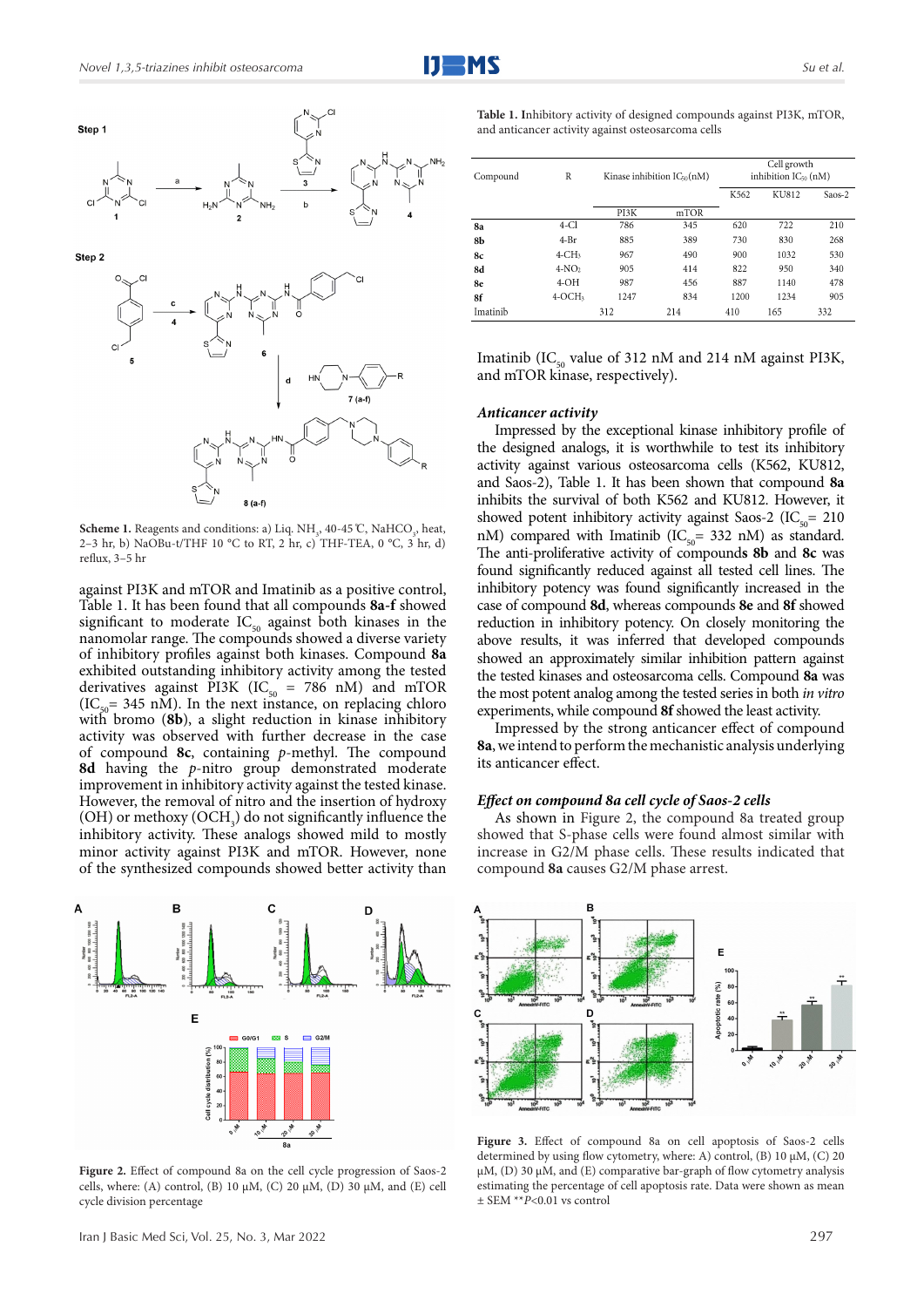

**Scheme 1.** Reagents and conditions: a) Liq.  $NH_3$ , 40-45 °C, NaHCO<sub>3</sub>, heat, 2–3 hr, b) NaOBu-t/THF 10 °C to RT, 2 hr, c) THF-TEA, 0 °C, 3 hr, d) reflux, 3–5 hr

against PI3K and mTOR and Imatinib as a positive control, Table 1. It has been found that all compounds **8a-f** showed significant to moderate  $IC_{50}$  against both kinases in the nanomolar range. The compounds showed a diverse variety of inhibitory profiles against both kinases. Compound **8a**  exhibited outstanding inhibitory activity among the tested derivatives against PI3K (IC<sub>50</sub> = 786 nM) and mTOR  $(IC_{50}= 345 \text{ nM})$ . In the next instance, on replacing chloro with bromo (**8b**), a slight reduction in kinase inhibitory activity was observed with further decrease in the case of compound **8c**, containing *p*-methyl. The compound **8d** having the *p*-nitro group demonstrated moderate improvement in inhibitory activity against the tested kinase. However, the removal of nitro and the insertion of hydroxy  $(OH)$  or methoxy  $(OCH<sub>3</sub>)$  do not significantly influence the inhibitory activity. These analogs showed mild to mostly minor activity against PI3K and mTOR. However, none of the synthesized compounds showed better activity than



Figure 2. Effect of compound 8a on the cell cycle progression of Saos-2 cells, where: (A) control, (B) 10  $\mu$ M, (C) 20  $\mu$ M, (D) 30  $\mu$ M, and (E) cell cycle division percentage

**Table 1. I**nhibitory activity of designed compounds against PI3K, mTOR, and anticancer activity against osteosarcoma cells

| Compound | R            | Kinase inhibition IC <sub>50</sub> (nM) |      | Cell growth<br>inhibition IC <sub>50</sub> (nM) |              |        |
|----------|--------------|-----------------------------------------|------|-------------------------------------------------|--------------|--------|
|          |              |                                         |      | K562                                            | <b>KU812</b> | Saos-2 |
|          |              | PI3K                                    | mTOR |                                                 |              |        |
| 8a       | $4$ -Cl      | 786                                     | 345  | 620                                             | 722          | 210    |
| 8b       | $4-Pr$       | 885                                     | 389  | 730                                             | 830          | 268    |
| 8c       | $4$ -CH $_3$ | 967                                     | 490  | 900                                             | 1032         | 530    |
| 8d       | $4-NO2$      | 905                                     | 414  | 822                                             | 950          | 340    |
| 8e       | $4-OH$       | 987                                     | 456  | 887                                             | 1140         | 478    |
| 8f       | $4-OCH3$     | 1247                                    | 834  | 1200                                            | 1234         | 905    |
| Imatinib |              | 312                                     | 214  | 410                                             | 165          | 332    |

Imatinib (IC<sub>50</sub> value of 312 nM and 214 nM against PI3K, and mTOR kinase, respectively).

#### *Anticancer activity*

Impressed by the exceptional kinase inhibitory profile of the designed analogs, it is worthwhile to test its inhibitory activity against various osteosarcoma cells (K562, KU812, and Saos-2), Table 1. It has been shown that compound **8a** inhibits the survival of both K562 and KU812. However, it showed potent inhibitory activity against Saos-2 (IC $_{50}$ = 210 nM) compared with Imatinib (IC<sub>50</sub>= 332 nM) as standard. The anti-proliferative activity of compound**s 8b** and **8c** was found significantly reduced against all tested cell lines. The inhibitory potency was found significantly increased in the case of compound **8d**, whereas compounds **8e** and **8f** showed reduction in inhibitory potency. On closely monitoring the above results, it was inferred that developed compounds showed an approximately similar inhibition pattern against the tested kinases and osteosarcoma cells. Compound **8a** was the most potent analog among the tested series in both *in vitro* experiments, while compound **8f** showed the least activity.

Impressed by the strong anticancer effect of compound **8a**, we intend to perform the mechanistic analysis underlying its anticancer effect.

#### *Effect on compound 8a cell cycle of Saos-2 cells*

As shown in Figure 2, the compound 8a treated group showed that S-phase cells were found almost similar with increase in G2/M phase cells. These results indicated that compound **8a** causes G2/M phase arrest.



**Figure 3.** Effect of compound 8a on cell apoptosis of Saos-2 cells determined by using flow cytometry, where: A) control, (B) 10  $\mu$ M, (C) 20 µM, (D) 30 µM, and (E) comparative bar-graph of flow cytometry analysis estimating the percentage of cell apoptosis rate. Data were shown as mean ± SEM \*\**P*<0.01 vs control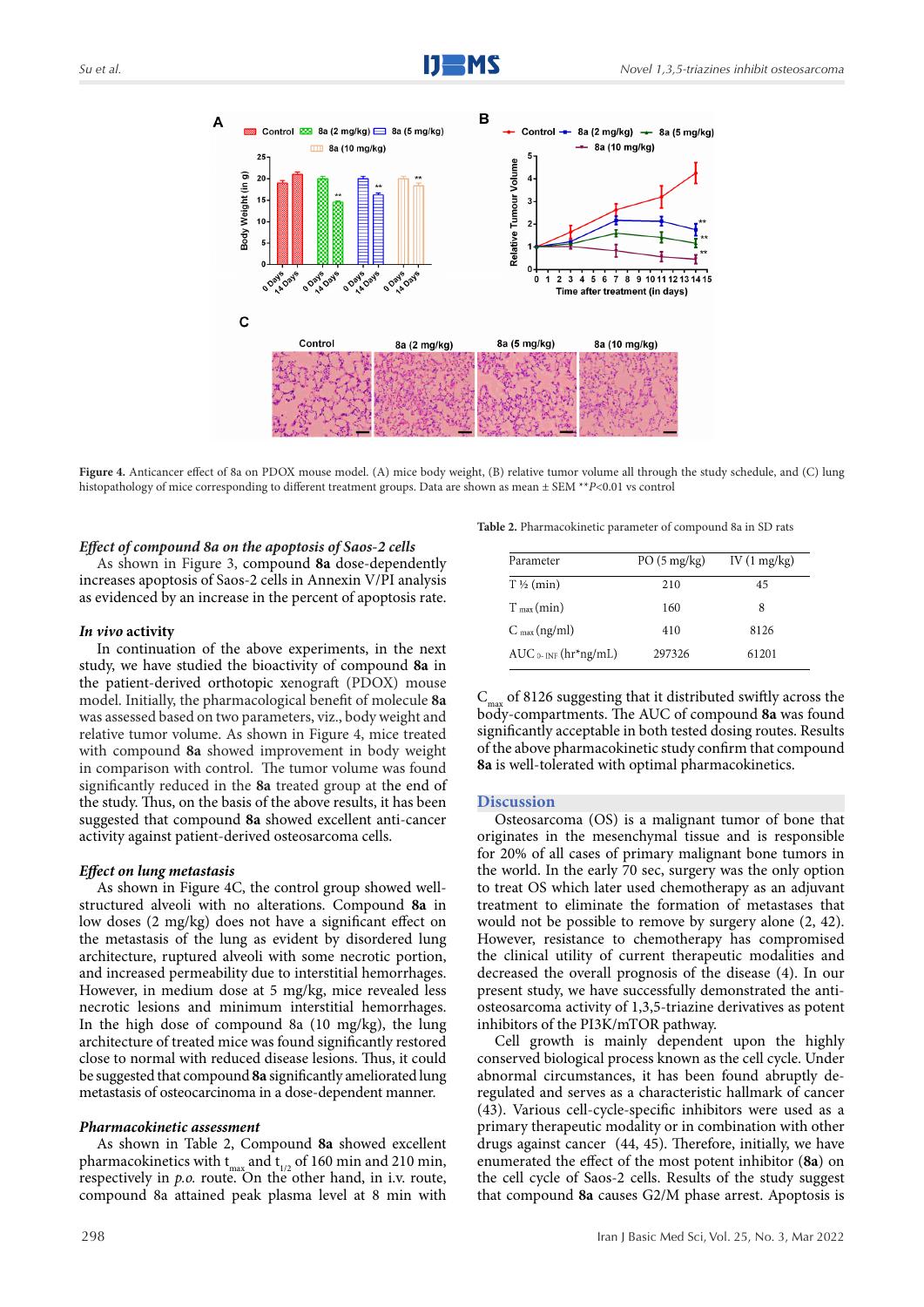

**Figure 4.** Anticancer effect of 8a on PDOX mouse model. (A) mice body weight, (B) relative tumor volume all through the study schedule, and (C) lung histopathology of mice corresponding to different treatment groups. Data are shown as mean ± SEM \*\**P*<0.01 vs control

#### *Effect of compound 8a on the apoptosis of Saos-2 cells*

As shown in Figure 3, compound **8a** dose-dependently increases apoptosis of Saos-2 cells in Annexin V/PI analysis as evidenced by an increase in the percent of apoptosis rate.

#### *In vivo* **activity**

In continuation of the above experiments, in the next study, we have studied the bioactivity of compound **8a** in the patient-derived orthotopic xenograft (PDOX) mouse model. Initially, the pharmacological benefit of molecule **8a** was assessed based on two parameters, viz., body weight and relative tumor volume. As shown in Figure 4, mice treated with compound **8a** showed improvement in body weight in comparison with control. The tumor volume was found significantly reduced in the **8a** treated group at the end of the study. Thus, on the basis of the above results, it has been suggested that compound **8a** showed excellent anti-cancer activity against patient-derived osteosarcoma cells.

#### *Effect on lung metastasis*

As shown in Figure 4C, the control group showed wellstructured alveoli with no alterations. Compound **8a** in low doses (2 mg/kg) does not have a significant effect on the metastasis of the lung as evident by disordered lung architecture, ruptured alveoli with some necrotic portion, and increased permeability due to interstitial hemorrhages. However, in medium dose at 5 mg/kg, mice revealed less necrotic lesions and minimum interstitial hemorrhages. In the high dose of compound 8a (10 mg/kg), the lung architecture of treated mice was found significantly restored close to normal with reduced disease lesions. Thus, it could be suggested that compound **8a** significantly ameliorated lung metastasis of osteocarcinoma in a dose-dependent manner.

### *Pharmacokinetic assessment*

As shown in Table 2, Compound **8a** showed excellent pharmacokinetics with  $t_{max}$  and  $t_{1/2}$  of 160 min and 210 min, respectively in *p.o.* route. On the other hand, in i.v. route, compound 8a attained peak plasma level at 8 min with

298

**Table 2.** Pharmacokinetic parameter of compound 8a in SD rats

| Parameter                                        | $PO(5 \text{ mg/kg})$ | IV $(1 \text{ mg/kg})$ |
|--------------------------------------------------|-----------------------|------------------------|
| $T\frac{1}{2}$ (min)                             | 210                   | 45                     |
| $T_{\text{max}}$ (min)                           | 160                   | 8                      |
| $C_{\text{max}}(ng/ml)$                          | 410                   | 8126                   |
| $AUC_0$ - <sub>INF</sub> (hr <sup>*</sup> ng/mL) | 297326                | 61201                  |

 $C_{\text{max}}$  of 8126 suggesting that it distributed swiftly across the body-compartments. The AUC of compound **8a** was found significantly acceptable in both tested dosing routes. Results of the above pharmacokinetic study confirm that compound **8a** is well-tolerated with optimal pharmacokinetics.

#### **Discussion**

Osteosarcoma (OS) is a malignant tumor of bone that originates in the mesenchymal tissue and is responsible for 20% of all cases of primary malignant bone tumors in the world. In the early 70 sec, surgery was the only option to treat OS which later used chemotherapy as an adjuvant treatment to eliminate the formation of metastases that would not be possible to remove by surgery alone (2, 42). However, resistance to chemotherapy has compromised the clinical utility of current therapeutic modalities and decreased the overall prognosis of the disease (4). In our present study, we have successfully demonstrated the antiosteosarcoma activity of 1,3,5-triazine derivatives as potent inhibitors of the PI3K/mTOR pathway.

Cell growth is mainly dependent upon the highly conserved biological process known as the cell cycle. Under abnormal circumstances, it has been found abruptly deregulated and serves as a characteristic hallmark of cancer (43). Various cell-cycle-specific inhibitors were used as a primary therapeutic modality or in combination with other drugs against cancer (44, 45). Therefore, initially, we have enumerated the effect of the most potent inhibitor (**8a**) on the cell cycle of Saos-2 cells. Results of the study suggest that compound **8a** causes G2/M phase arrest. Apoptosis is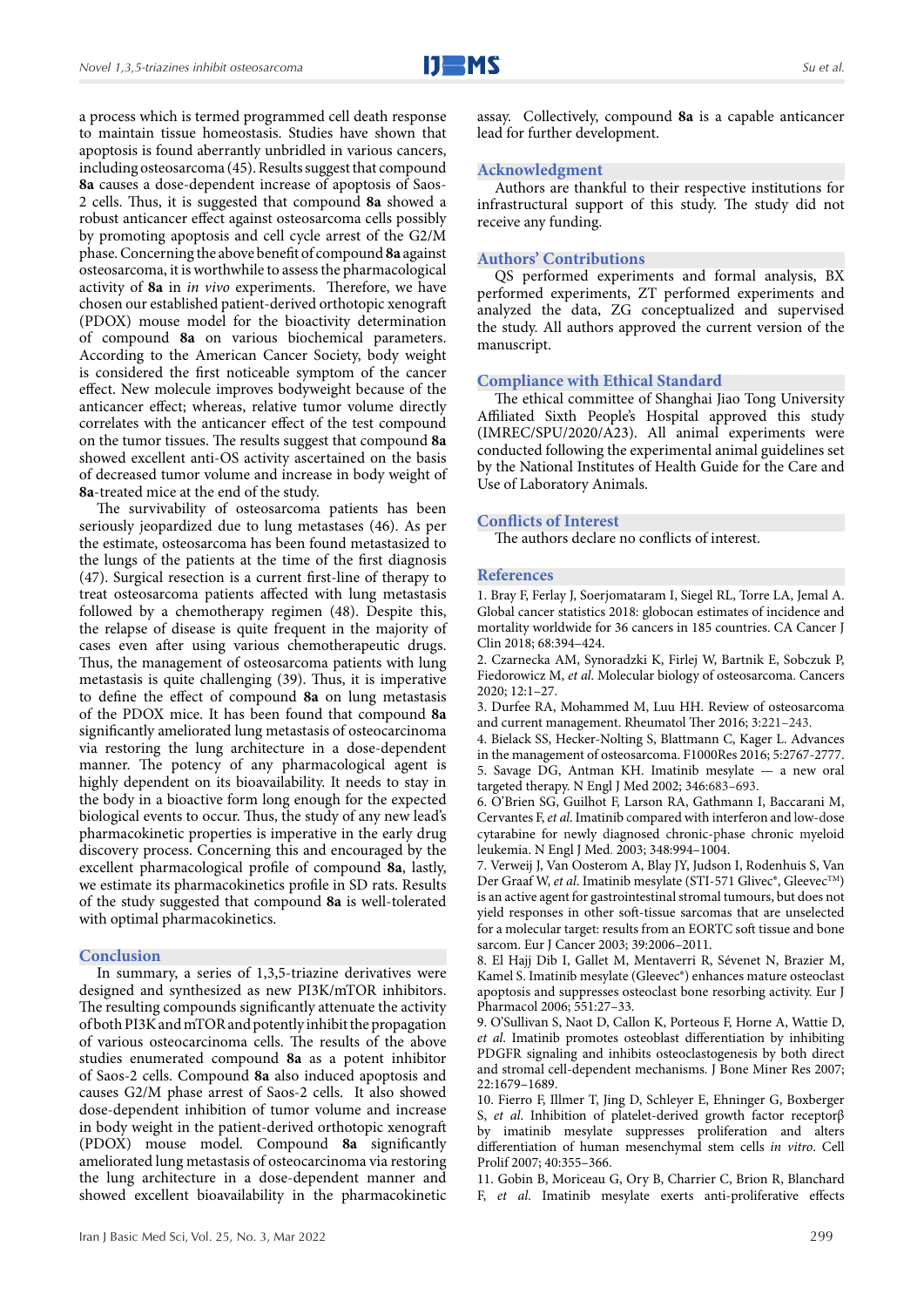a process which is termed programmed cell death response to maintain tissue homeostasis. Studies have shown that apoptosis is found aberrantly unbridled in various cancers, including osteosarcoma (45). Results suggest that compound **8a** causes a dose-dependent increase of apoptosis of Saos-2 cells. Thus, it is suggested that compound **8a** showed a robust anticancer effect against osteosarcoma cells possibly by promoting apoptosis and cell cycle arrest of the G2/M phase. Concerning the above benefit of compound **8a** against osteosarcoma, it is worthwhile to assess the pharmacological activity of **8a** in *in vivo* experiments. Therefore, we have chosen our established patient-derived orthotopic xenograft (PDOX) mouse model for the bioactivity determination of compound **8a** on various biochemical parameters. According to the American Cancer Society, body weight is considered the first noticeable symptom of the cancer effect. New molecule improves bodyweight because of the anticancer effect; whereas, relative tumor volume directly correlates with the anticancer effect of the test compound on the tumor tissues. The results suggest that compound **8a** showed excellent anti-OS activity ascertained on the basis of decreased tumor volume and increase in body weight of **8a**-treated mice at the end of the study.

The survivability of osteosarcoma patients has been seriously jeopardized due to lung metastases (46). As per the estimate, osteosarcoma has been found metastasized to the lungs of the patients at the time of the first diagnosis (47). Surgical resection is a current first-line of therapy to treat osteosarcoma patients affected with lung metastasis followed by a chemotherapy regimen (48). Despite this, the relapse of disease is quite frequent in the majority of cases even after using various chemotherapeutic drugs. Thus, the management of osteosarcoma patients with lung metastasis is quite challenging (39). Thus, it is imperative to define the effect of compound **8a** on lung metastasis of the PDOX mice. It has been found that compound **8a** significantly ameliorated lung metastasis of osteocarcinoma via restoring the lung architecture in a dose-dependent manner. The potency of any pharmacological agent is highly dependent on its bioavailability. It needs to stay in the body in a bioactive form long enough for the expected biological events to occur. Thus, the study of any new lead's pharmacokinetic properties is imperative in the early drug discovery process. Concerning this and encouraged by the excellent pharmacological profile of compound **8a**, lastly, we estimate its pharmacokinetics profile in SD rats. Results of the study suggested that compound **8a** is well-tolerated with optimal pharmacokinetics.

## **Conclusion**

In summary, a series of 1,3,5-triazine derivatives were designed and synthesized as new PI3K/mTOR inhibitors. The resulting compounds significantly attenuate the activity of both PI3K and mTOR and potently inhibit the propagation of various osteocarcinoma cells. The results of the above studies enumerated compound **8a** as a potent inhibitor of Saos-2 cells. Compound **8a** also induced apoptosis and causes G2/M phase arrest of Saos-2 cells. It also showed dose-dependent inhibition of tumor volume and increase in body weight in the patient-derived orthotopic xenograft (PDOX) mouse model. Compound **8a** significantly ameliorated lung metastasis of osteocarcinoma via restoring the lung architecture in a dose-dependent manner and showed excellent bioavailability in the pharmacokinetic

assay. Collectively, compound **8a** is a capable anticancer lead for further development.

# **Acknowledgment**

Authors are thankful to their respective institutions for infrastructural support of this study. The study did not receive any funding.

#### **Authors' Contributions**

QS performed experiments and formal analysis, BX performed experiments, ZT performed experiments and analyzed the data, ZG conceptualized and supervised the study. All authors approved the current version of the manuscript.

#### **Compliance with Ethical Standard**

The ethical committee of Shanghai Jiao Tong University Affiliated Sixth People's Hospital approved this study (IMREC/SPU/2020/A23). All animal experiments were conducted following the experimental animal guidelines set by the National Institutes of Health Guide for the Care and Use of Laboratory Animals.

#### **Conflicts of Interest**

The authors declare no conflicts of interest.

# **References**

1. Bray F, Ferlay J, Soerjomataram I, Siegel RL, Torre LA, Jemal A. Global cancer statistics 2018: globocan estimates of incidence and mortality worldwide for 36 cancers in 185 countries. CA Cancer J Clin 2018; 68:394–424.

2. Czarnecka AM, Synoradzki K, Firlej W, Bartnik E, Sobczuk P, Fiedorowicz M, *et al*. Molecular biology of osteosarcoma. Cancers 2020; 12:1–27.

3. Durfee RA, Mohammed M, Luu HH. Review of osteosarcoma and current management. Rheumatol Ther 2016; 3:221–243.

4. Bielack SS, Hecker-Nolting S, Blattmann C, Kager L. Advances in the management of osteosarcoma. F1000Res 2016; 5:2767-2777. 5. Savage DG, Antman KH. Imatinib mesylate — a new oral targeted therapy. N Engl J Med 2002; 346:683–693.

6. O'Brien SG, Guilhot F, Larson RA, Gathmann I, Baccarani M, Cervantes F, *et al*. Imatinib compared with interferon and low-dose cytarabine for newly diagnosed chronic-phase chronic myeloid leukemia. N Engl J Med. 2003; 348:994–1004.

7. Verweij J, Van Oosterom A, Blay JY, Judson I, Rodenhuis S, Van Der Graaf W, et al. Imatinib mesylate (STI-571 Glivec®, Gleevec<sup>™</sup>) is an active agent for gastrointestinal stromal tumours, but does not yield responses in other soft-tissue sarcomas that are unselected for a molecular target: results from an EORTC soft tissue and bone sarcom. Eur J Cancer 2003; 39:2006–2011.

8. El Hajj Dib I, Gallet M, Mentaverri R, Sévenet N, Brazier M, Kamel S. Imatinib mesylate (Gleevec®) enhances mature osteoclast apoptosis and suppresses osteoclast bone resorbing activity. Eur J Pharmacol 2006; 551:27–33.

9. O'Sullivan S, Naot D, Callon K, Porteous F, Horne A, Wattie D, *et al*. Imatinib promotes osteoblast differentiation by inhibiting PDGFR signaling and inhibits osteoclastogenesis by both direct and stromal cell-dependent mechanisms. J Bone Miner Res 2007; 22:1679–1689.

10. Fierro F, Illmer T, Jing D, Schleyer E, Ehninger G, Boxberger S, *et al*. Inhibition of platelet-derived growth factor receptorβ by imatinib mesylate suppresses proliferation and alters differentiation of human mesenchymal stem cells *in vitro*. Cell Prolif 2007; 40:355–366.

11. Gobin B, Moriceau G, Ory B, Charrier C, Brion R, Blanchard F, *et al*. Imatinib mesylate exerts anti-proliferative effects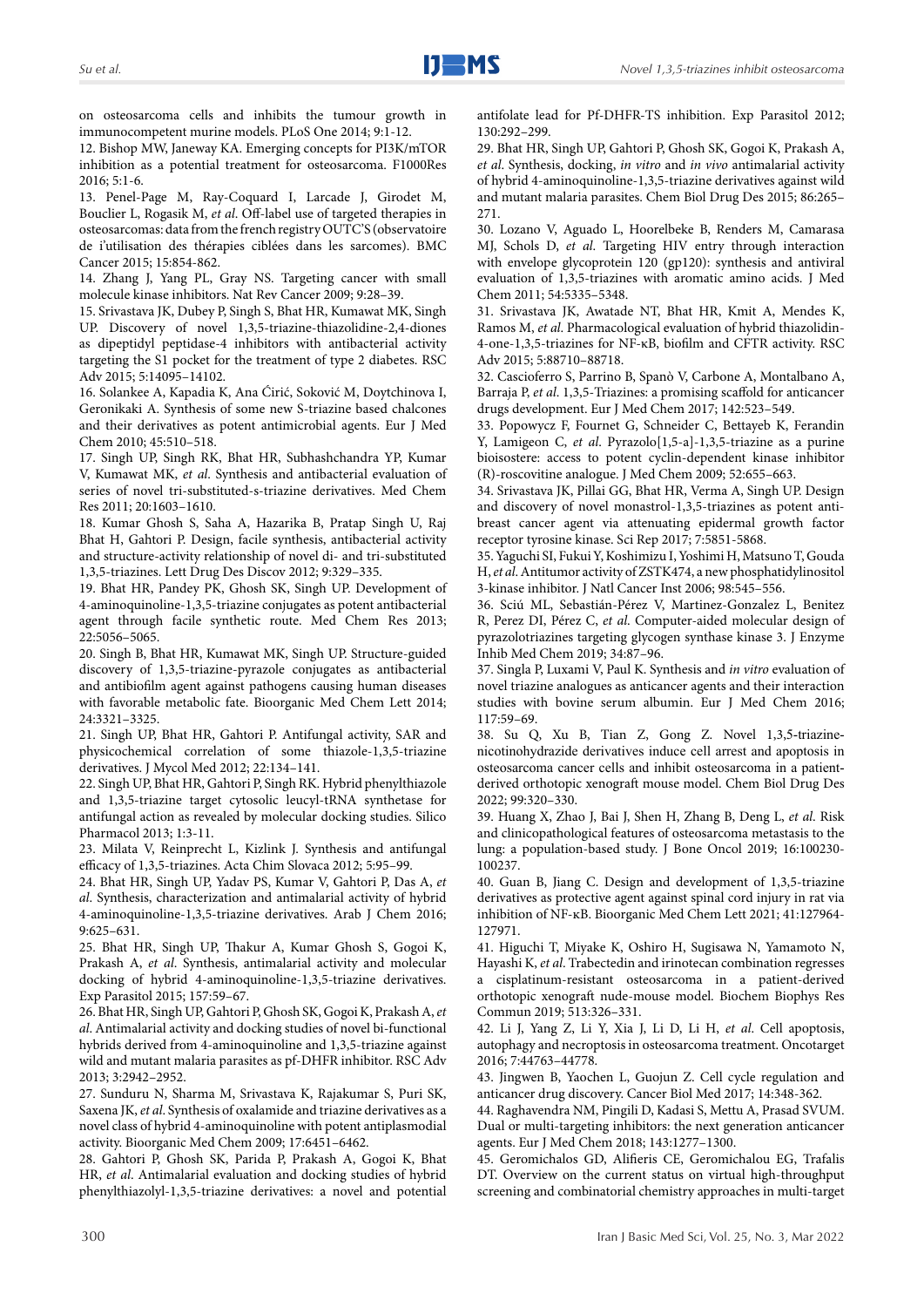on osteosarcoma cells and inhibits the tumour growth in immunocompetent murine models. PLoS One 2014; 9:1-12.

12. Bishop MW, Janeway KA. Emerging concepts for PI3K/mTOR inhibition as a potential treatment for osteosarcoma. F1000Res 2016; 5:1-6.

13. Penel-Page M, Ray-Coquard I, Larcade J, Girodet M, Bouclier L, Rogasik M, *et al*. Off-label use of targeted therapies in osteosarcomas: data from the french registry OUTC'S (observatoire de i'utilisation des thérapies ciblées dans les sarcomes). BMC Cancer 2015; 15:854-862.

14. Zhang J, Yang PL, Gray NS. Targeting cancer with small molecule kinase inhibitors. Nat Rev Cancer 2009; 9:28–39.

15. Srivastava JK, Dubey P, Singh S, Bhat HR, Kumawat MK, Singh UP. Discovery of novel 1,3,5-triazine-thiazolidine-2,4-diones as dipeptidyl peptidase-4 inhibitors with antibacterial activity targeting the S1 pocket for the treatment of type 2 diabetes. RSC Adv 2015; 5:14095–14102.

16. Solankee A, Kapadia K, Ana Ćirić, Soković M, Doytchinova I, Geronikaki A. Synthesis of some new S-triazine based chalcones and their derivatives as potent antimicrobial agents. Eur J Med Chem 2010; 45:510–518.

17. Singh UP, Singh RK, Bhat HR, Subhashchandra YP, Kumar V, Kumawat MK, *et al*. Synthesis and antibacterial evaluation of series of novel tri-substituted-s-triazine derivatives. Med Chem Res 2011; 20:1603–1610.

18. Kumar Ghosh S, Saha A, Hazarika B, Pratap Singh U, Raj Bhat H, Gahtori P. Design, facile synthesis, antibacterial activity and structure-activity relationship of novel di- and tri-substituted 1,3,5-triazines. Lett Drug Des Discov 2012; 9:329–335.

19. Bhat HR, Pandey PK, Ghosh SK, Singh UP. Development of 4-aminoquinoline-1,3,5-triazine conjugates as potent antibacterial agent through facile synthetic route. Med Chem Res 2013; 22:5056–5065.

20. Singh B, Bhat HR, Kumawat MK, Singh UP. Structure-guided discovery of 1,3,5-triazine-pyrazole conjugates as antibacterial and antibiofilm agent against pathogens causing human diseases with favorable metabolic fate. Bioorganic Med Chem Lett 2014; 24:3321–3325.

21. Singh UP, Bhat HR, Gahtori P. Antifungal activity, SAR and physicochemical correlation of some thiazole-1,3,5-triazine derivatives. J Mycol Med 2012; 22:134–141.

22. Singh UP, Bhat HR, Gahtori P, Singh RK. Hybrid phenylthiazole and 1,3,5-triazine target cytosolic leucyl-tRNA synthetase for antifungal action as revealed by molecular docking studies. Silico Pharmacol 2013; 1:3-11.

23. Milata V, Reinprecht L, Kizlink J. Synthesis and antifungal efficacy of 1,3,5-triazines. Acta Chim Slovaca 2012; 5:95–99.

24. Bhat HR, Singh UP, Yadav PS, Kumar V, Gahtori P, Das A, *et al*. Synthesis, characterization and antimalarial activity of hybrid 4-aminoquinoline-1,3,5-triazine derivatives. Arab J Chem 2016; 9:625–631.

25. Bhat HR, Singh UP, Thakur A, Kumar Ghosh S, Gogoi K, Prakash A, *et al*. Synthesis, antimalarial activity and molecular docking of hybrid 4-aminoquinoline-1,3,5-triazine derivatives. Exp Parasitol 2015; 157:59–67.

26. Bhat HR, Singh UP, Gahtori P, Ghosh SK, Gogoi K, Prakash A, *et al*. Antimalarial activity and docking studies of novel bi-functional hybrids derived from 4-aminoquinoline and 1,3,5-triazine against wild and mutant malaria parasites as pf-DHFR inhibitor. RSC Adv 2013; 3:2942–2952.

27. Sunduru N, Sharma M, Srivastava K, Rajakumar S, Puri SK, Saxena JK, *et al*. Synthesis of oxalamide and triazine derivatives as a novel class of hybrid 4-aminoquinoline with potent antiplasmodial activity. Bioorganic Med Chem 2009; 17:6451–6462.

28. Gahtori P, Ghosh SK, Parida P, Prakash A, Gogoi K, Bhat HR, *et al*. Antimalarial evaluation and docking studies of hybrid phenylthiazolyl-1,3,5-triazine derivatives: a novel and potential antifolate lead for Pf-DHFR-TS inhibition. Exp Parasitol 2012; 130:292–299.

29. Bhat HR, Singh UP, Gahtori P, Ghosh SK, Gogoi K, Prakash A, *et al*. Synthesis, docking, *in vitro* and *in vivo* antimalarial activity of hybrid 4-aminoquinoline-1,3,5-triazine derivatives against wild and mutant malaria parasites. Chem Biol Drug Des 2015; 86:265– 271.

30. Lozano V, Aguado L, Hoorelbeke B, Renders M, Camarasa MJ, Schols D, *et al*. Targeting HIV entry through interaction with envelope glycoprotein 120 (gp120): synthesis and antiviral evaluation of 1,3,5-triazines with aromatic amino acids. J Med Chem 2011; 54:5335–5348.

31. Srivastava JK, Awatade NT, Bhat HR, Kmit A, Mendes K, Ramos M, *et al*. Pharmacological evaluation of hybrid thiazolidin-4-one-1,3,5-triazines for NF-κB, biofilm and CFTR activity. RSC Adv 2015; 5:88710–88718.

32. Cascioferro S, Parrino B, Spanò V, Carbone A, Montalbano A, Barraja P, *et al*. 1,3,5-Triazines: a promising scaffold for anticancer drugs development. Eur J Med Chem 2017; 142:523–549.

33. Popowycz F, Fournet G, Schneider C, Bettayeb K, Ferandin Y, Lamigeon C, *et al*. Pyrazolo[1,5-a]-1,3,5-triazine as a purine bioisostere: access to potent cyclin-dependent kinase inhibitor (R)-roscovitine analogue. J Med Chem 2009; 52:655–663.

34. Srivastava JK, Pillai GG, Bhat HR, Verma A, Singh UP. Design and discovery of novel monastrol-1,3,5-triazines as potent antibreast cancer agent via attenuating epidermal growth factor receptor tyrosine kinase. Sci Rep 2017; 7:5851-5868.

35. Yaguchi SI, Fukui Y, Koshimizu I, Yoshimi H, Matsuno T, Gouda H, *et al*. Antitumor activity of ZSTK474, a new phosphatidylinositol 3-kinase inhibitor. J Natl Cancer Inst 2006; 98:545–556.

36. Sciú ML, Sebastián-Pérez V, Martinez-Gonzalez L, Benitez R, Perez DI, Pérez C, *et al*. Computer-aided molecular design of pyrazolotriazines targeting glycogen synthase kinase 3. J Enzyme Inhib Med Chem 2019; 34:87–96.

37. Singla P, Luxami V, Paul K. Synthesis and *in vitro* evaluation of novel triazine analogues as anticancer agents and their interaction studies with bovine serum albumin. Eur J Med Chem 2016; 117:59–69.

38. Su Q, Xu B, Tian Z, Gong Z. Novel 1,3,5‐triazine‐ nicotinohydrazide derivatives induce cell arrest and apoptosis in osteosarcoma cancer cells and inhibit osteosarcoma in a patient‐ derived orthotopic xenograft mouse model. Chem Biol Drug Des 2022; 99:320–330.

39. Huang X, Zhao J, Bai J, Shen H, Zhang B, Deng L, *et al*. Risk and clinicopathological features of osteosarcoma metastasis to the lung: a population-based study. J Bone Oncol 2019; 16:100230- 100237.

40. Guan B, Jiang C. Design and development of 1,3,5-triazine derivatives as protective agent against spinal cord injury in rat via inhibition of NF-ĸB. Bioorganic Med Chem Lett 2021; 41:127964- 127971.

41. Higuchi T, Miyake K, Oshiro H, Sugisawa N, Yamamoto N, Hayashi K, *et al*. Trabectedin and irinotecan combination regresses a cisplatinum-resistant osteosarcoma in a patient-derived orthotopic xenograft nude-mouse model. Biochem Biophys Res Commun 2019; 513:326–331.

42. Li J, Yang Z, Li Y, Xia J, Li D, Li H, *et al*. Cell apoptosis, autophagy and necroptosis in osteosarcoma treatment. Oncotarget 2016; 7:44763–44778.

43. Jingwen B, Yaochen L, Guojun Z. Cell cycle regulation and anticancer drug discovery. Cancer Biol Med 2017; 14:348-362.

44. Raghavendra NM, Pingili D, Kadasi S, Mettu A, Prasad SVUM. Dual or multi-targeting inhibitors: the next generation anticancer agents. Eur J Med Chem 2018; 143:1277–1300.

45. Geromichalos GD, Alifieris CE, Geromichalou EG, Trafalis DT. Overview on the current status on virtual high-throughput screening and combinatorial chemistry approaches in multi-target